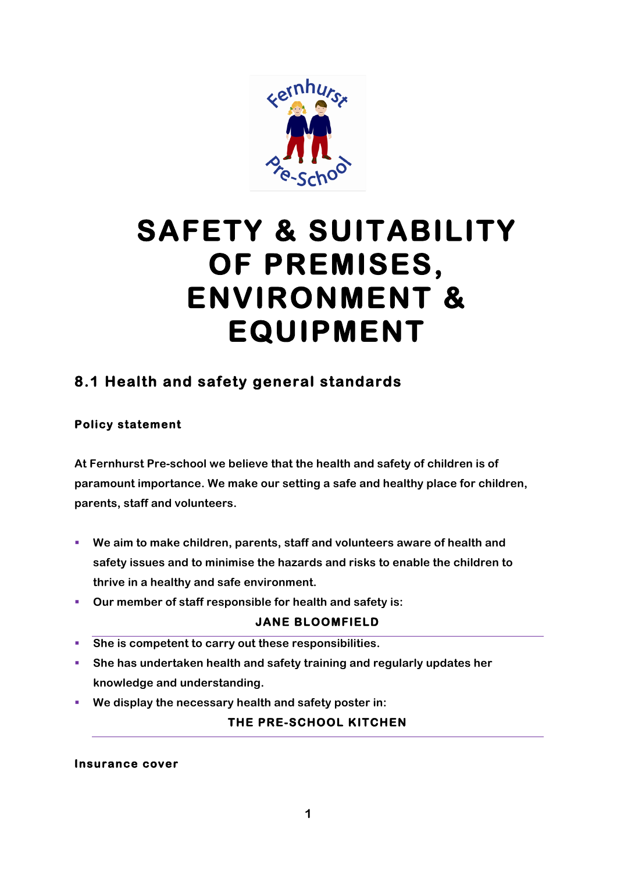

# **SAFETY & SUITABILITY OF PREMISES, ENVIRONMENT & EQUIPMENT**

# **8.1 Health and safety general standards**

# **Policy statement**

**At Fernhurst Pre-school we believe that the health and safety of children is of paramount importance. We make our setting a safe and healthy place for children, parents, staff and volunteers.**

- § **We aim to make children, parents, staff and volunteers aware of health and safety issues and to minimise the hazards and risks to enable the children to thrive in a healthy and safe environment.**
- § **Our member of staff responsible for health and safety is:**

# **JANE BLOOMFIELD**

- § **She is competent to carry out these responsibilities.**
- § **She has undertaken health and safety training and regularly updates her knowledge and understanding.**
- We display the necessary health and safety poster in:

# **THE PRE-SCHOOL KITCHEN**

#### **Insurance cover**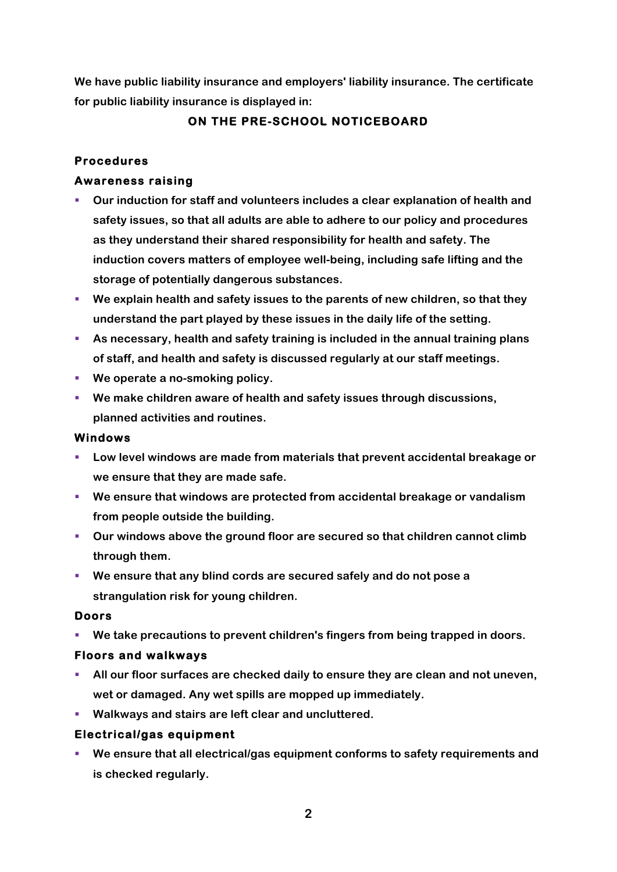**We have public liability insurance and employers' liability insurance. The certificate for public liability insurance is displayed in:**

# **ON THE PRE-SCHOOL NOTICEBOARD**

# **Procedures**

#### **Awareness raising**

- § **Our induction for staff and volunteers includes a clear explanation of health and safety issues, so that all adults are able to adhere to our policy and procedures as they understand their shared responsibility for health and safety. The induction covers matters of employee well-being, including safe lifting and the storage of potentially dangerous substances.**
- We explain health and safety issues to the parents of new children, so that they **understand the part played by these issues in the daily life of the setting.**
- § **As necessary, health and safety training is included in the annual training plans of staff, and health and safety is discussed regularly at our staff meetings.**
- We operate a no-smoking policy.
- § **We make children aware of health and safety issues through discussions, planned activities and routines.**

#### **Windows**

- § **Low level windows are made from materials that prevent accidental breakage or we ensure that they are made safe.**
- § **We ensure that windows are protected from accidental breakage or vandalism from people outside the building.**
- § **Our windows above the ground floor are secured so that children cannot climb through them.**
- We ensure that any blind cords are secured safely and do not pose a **strangulation risk for young children.**

#### **Doors**

■ We take precautions to prevent children's fingers from being trapped in doors.

#### **Floors and walkways**

- § **All our floor surfaces are checked daily to ensure they are clean and not uneven, wet or damaged. Any wet spills are mopped up immediately.**
- Walkways and stairs are left clear and uncluttered.

#### **Electrical/gas equipment**

§ **We ensure that all electrical/gas equipment conforms to safety requirements and is checked regularly.**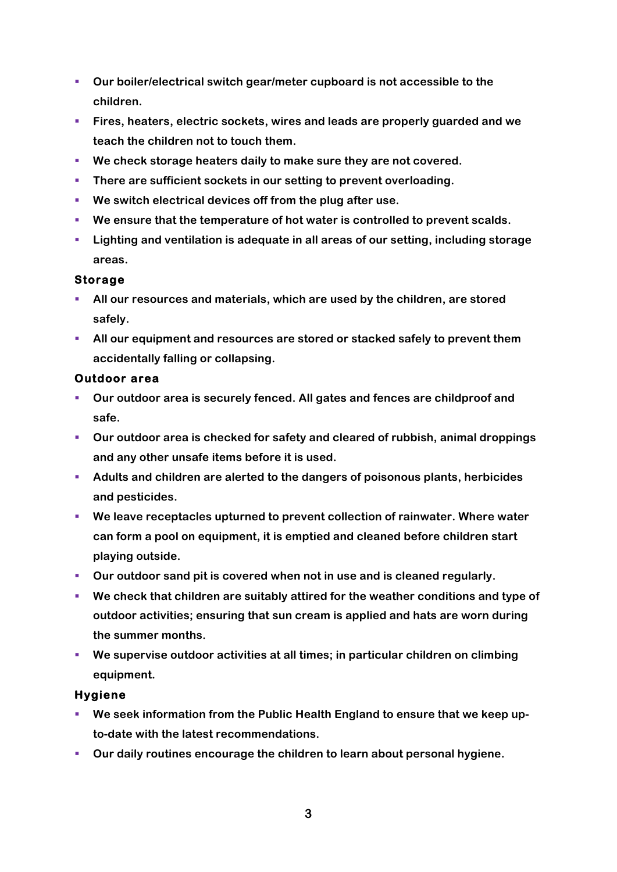- § **Our boiler/electrical switch gear/meter cupboard is not accessible to the children.**
- § **Fires, heaters, electric sockets, wires and leads are properly guarded and we teach the children not to touch them.**
- § **We check storage heaters daily to make sure they are not covered.**
- § **There are sufficient sockets in our setting to prevent overloading.**
- We switch electrical devices off from the plug after use.
- § **We ensure that the temperature of hot water is controlled to prevent scalds.**
- § **Lighting and ventilation is adequate in all areas of our setting, including storage areas.**

# **Storage**

- § **All our resources and materials, which are used by the children, are stored safely.**
- § **All our equipment and resources are stored or stacked safely to prevent them accidentally falling or collapsing.**

#### **Outdoor area**

- § **Our outdoor area is securely fenced. All gates and fences are childproof and safe.**
- § **Our outdoor area is checked for safety and cleared of rubbish, animal droppings and any other unsafe items before it is used.**
- § **Adults and children are alerted to the dangers of poisonous plants, herbicides and pesticides.**
- We leave receptacles upturned to prevent collection of rainwater. Where water **can form a pool on equipment, it is emptied and cleaned before children start playing outside.**
- § **Our outdoor sand pit is covered when not in use and is cleaned regularly.**
- § **We check that children are suitably attired for the weather conditions and type of outdoor activities; ensuring that sun cream is applied and hats are worn during the summer months.**
- § **We supervise outdoor activities at all times; in particular children on climbing equipment.**

#### **Hygiene**

- § **We seek information from the Public Health England to ensure that we keep upto-date with the latest recommendations.**
- § **Our daily routines encourage the children to learn about personal hygiene.**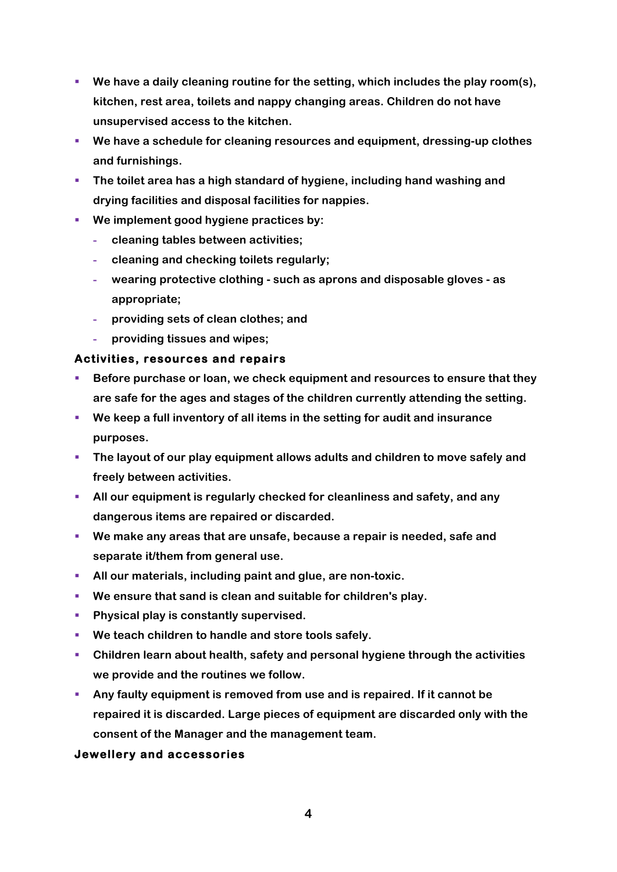- § **We have a daily cleaning routine for the setting, which includes the play room(s), kitchen, rest area, toilets and nappy changing areas. Children do not have unsupervised access to the kitchen.**
- § **We have a schedule for cleaning resources and equipment, dressing-up clothes and furnishings.**
- § **The toilet area has a high standard of hygiene, including hand washing and drying facilities and disposal facilities for nappies.**
- We implement good hygiene practices by:
	- **- cleaning tables between activities;**
	- **- cleaning and checking toilets regularly;**
	- **- wearing protective clothing - such as aprons and disposable gloves - as appropriate;**
	- **- providing sets of clean clothes; and**
	- **- providing tissues and wipes;**

# **Activities, resources and repairs**

- § **Before purchase or loan, we check equipment and resources to ensure that they are safe for the ages and stages of the children currently attending the setting.**
- **We keep a full inventory of all items in the setting for audit and insurance purposes.**
- **The layout of our play equipment allows adults and children to move safely and freely between activities.**
- § **All our equipment is regularly checked for cleanliness and safety, and any dangerous items are repaired or discarded.**
- § **We make any areas that are unsafe, because a repair is needed, safe and separate it/them from general use.**
- § **All our materials, including paint and glue, are non-toxic.**
- § **We ensure that sand is clean and suitable for children's play.**
- Physical play is constantly supervised.
- We teach children to handle and store tools safely.
- § **Children learn about health, safety and personal hygiene through the activities we provide and the routines we follow.**
- § **Any faulty equipment is removed from use and is repaired. If it cannot be repaired it is discarded. Large pieces of equipment are discarded only with the consent of the Manager and the management team.**

#### **Jewellery and accessories**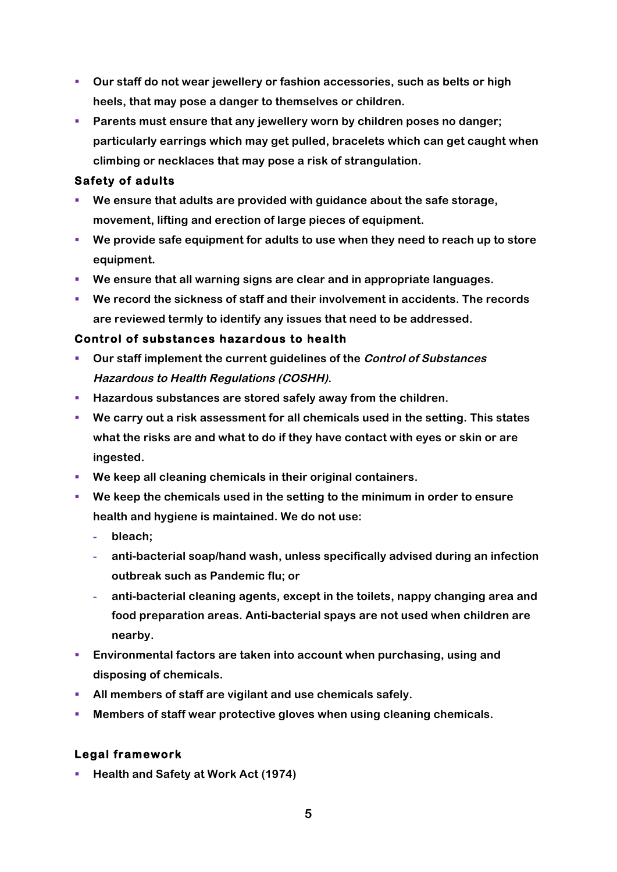- § **Our staff do not wear jewellery or fashion accessories, such as belts or high heels, that may pose a danger to themselves or children.**
- § **Parents must ensure that any jewellery worn by children poses no danger; particularly earrings which may get pulled, bracelets which can get caught when climbing or necklaces that may pose a risk of strangulation.**

#### **Safety of adults**

- § **We ensure that adults are provided with guidance about the safe storage, movement, lifting and erection of large pieces of equipment.**
- We provide safe equipment for adults to use when they need to reach up to store **equipment.**
- § **We ensure that all warning signs are clear and in appropriate languages.**
- § **We record the sickness of staff and their involvement in accidents. The records are reviewed termly to identify any issues that need to be addressed.**

# **Control of substances hazardous to health**

- § **Our staff implement the current guidelines of the Control of Substances Hazardous to Health Regulations (COSHH).**
- § **Hazardous substances are stored safely away from the children.**
- We carry out a risk assessment for all chemicals used in the setting. This states **what the risks are and what to do if they have contact with eyes or skin or are ingested.**
- We keep all cleaning chemicals in their original containers.
- § **We keep the chemicals used in the setting to the minimum in order to ensure health and hygiene is maintained. We do not use:**
	- **- bleach;**
	- **- anti-bacterial soap/hand wash, unless specifically advised during an infection outbreak such as Pandemic flu; or**
	- **- anti-bacterial cleaning agents, except in the toilets, nappy changing area and food preparation areas. Anti-bacterial spays are not used when children are nearby.**
- § **Environmental factors are taken into account when purchasing, using and disposing of chemicals.**
- § **All members of staff are vigilant and use chemicals safely.**
- § **Members of staff wear protective gloves when using cleaning chemicals.**

# **Legal framework**

■ Health and Safety at Work Act (1974)